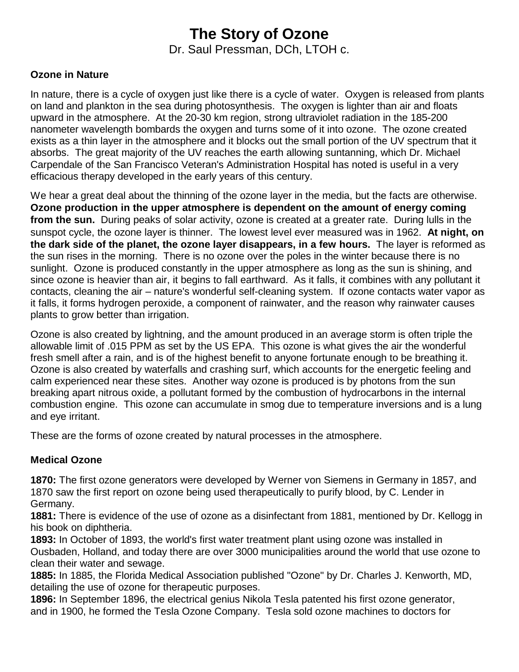# **The Story of Ozone**

Dr. Saul Pressman, DCh, LTOH c.

#### **Ozone in Nature**

In nature, there is a cycle of oxygen just like there is a cycle of water. Oxygen is released from plants on land and plankton in the sea during photosynthesis. The oxygen is lighter than air and floats upward in the atmosphere. At the 20-30 km region, strong ultraviolet radiation in the 185-200 nanometer wavelength bombards the oxygen and turns some of it into ozone. The ozone created exists as a thin layer in the atmosphere and it blocks out the small portion of the UV spectrum that it absorbs. The great majority of the UV reaches the earth allowing suntanning, which Dr. Michael Carpendale of the San Francisco Veteran's Administration Hospital has noted is useful in a very efficacious therapy developed in the early years of this century.

We hear a great deal about the thinning of the ozone layer in the media, but the facts are otherwise. **Ozone production in the upper atmosphere is dependent on the amount of energy coming from the sun.** During peaks of solar activity, ozone is created at a greater rate. During lulls in the sunspot cycle, the ozone layer is thinner. The lowest level ever measured was in 1962. **At night, on the dark side of the planet, the ozone layer disappears, in a few hours.** The layer is reformed as the sun rises in the morning. There is no ozone over the poles in the winter because there is no sunlight. Ozone is produced constantly in the upper atmosphere as long as the sun is shining, and since ozone is heavier than air, it begins to fall earthward. As it falls, it combines with any pollutant it contacts, cleaning the air – nature's wonderful self-cleaning system. If ozone contacts water vapor as it falls, it forms hydrogen peroxide, a component of rainwater, and the reason why rainwater causes plants to grow better than irrigation.

Ozone is also created by lightning, and the amount produced in an average storm is often triple the allowable limit of .015 PPM as set by the US EPA. This ozone is what gives the air the wonderful fresh smell after a rain, and is of the highest benefit to anyone fortunate enough to be breathing it. Ozone is also created by waterfalls and crashing surf, which accounts for the energetic feeling and calm experienced near these sites. Another way ozone is produced is by photons from the sun breaking apart nitrous oxide, a pollutant formed by the combustion of hydrocarbons in the internal combustion engine. This ozone can accumulate in smog due to temperature inversions and is a lung and eye irritant.

These are the forms of ozone created by natural processes in the atmosphere.

## **Medical Ozone**

**1870:** The first ozone generators were developed by Werner von Siemens in Germany in 1857, and 1870 saw the first report on ozone being used therapeutically to purify blood, by C. Lender in Germany.

**1881:** There is evidence of the use of ozone as a disinfectant from 1881, mentioned by Dr. Kellogg in his book on diphtheria.

**1893:** In October of 1893, the world's first water treatment plant using ozone was installed in Ousbaden, Holland, and today there are over 3000 municipalities around the world that use ozone to clean their water and sewage.

**1885:** In 1885, the Florida Medical Association published "Ozone" by Dr. Charles J. Kenworth, MD, detailing the use of ozone for therapeutic purposes.

**1896:** In September 1896, the electrical genius Nikola Tesla patented his first ozone generator, and in 1900, he formed the Tesla Ozone Company. Tesla sold ozone machines to doctors for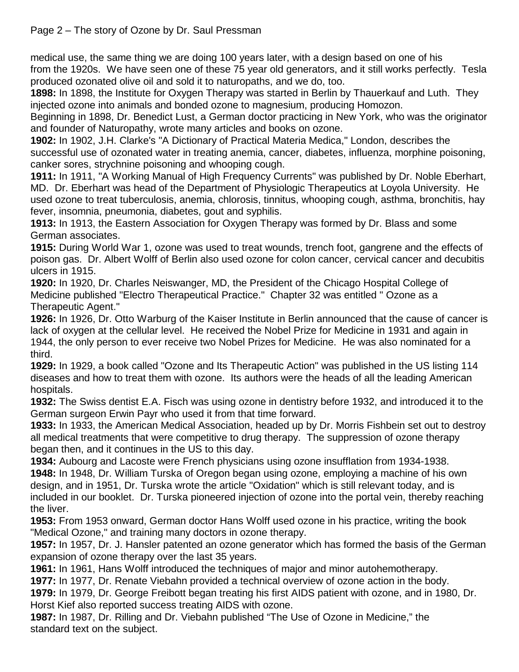# Page 2 – The story of Ozone by Dr. Saul Pressman

medical use, the same thing we are doing 100 years later, with a design based on one of his from the 1920s. We have seen one of these 75 year old generators, and it still works perfectly. Tesla produced ozonated olive oil and sold it to naturopaths, and we do, too.

**1898:** In 1898, the Institute for Oxygen Therapy was started in Berlin by Thauerkauf and Luth. They injected ozone into animals and bonded ozone to magnesium, producing Homozon.

Beginning in 1898, Dr. Benedict Lust, a German doctor practicing in New York, who was the originator and founder of Naturopathy, wrote many articles and books on ozone.

**1902:** In 1902, J.H. Clarke's "A Dictionary of Practical Materia Medica," London, describes the successful use of ozonated water in treating anemia, cancer, diabetes, influenza, morphine poisoning, canker sores, strychnine poisoning and whooping cough.

**1911:** In 1911, "A Working Manual of High Frequency Currents" was published by Dr. Noble Eberhart, MD. Dr. Eberhart was head of the Department of Physiologic Therapeutics at Loyola University. He used ozone to treat tuberculosis, anemia, chlorosis, tinnitus, whooping cough, asthma, bronchitis, hay fever, insomnia, pneumonia, diabetes, gout and syphilis.

**1913:** In 1913, the Eastern Association for Oxygen Therapy was formed by Dr. Blass and some German associates.

**1915:** During World War 1, ozone was used to treat wounds, trench foot, gangrene and the effects of poison gas. Dr. Albert Wolff of Berlin also used ozone for colon cancer, cervical cancer and decubitis ulcers in 1915.

**1920:** In 1920, Dr. Charles Neiswanger, MD, the President of the Chicago Hospital College of Medicine published "Electro Therapeutical Practice." Chapter 32 was entitled " Ozone as a Therapeutic Agent."

**1926:** In 1926, Dr. Otto Warburg of the Kaiser Institute in Berlin announced that the cause of cancer is lack of oxygen at the cellular level. He received the Nobel Prize for Medicine in 1931 and again in 1944, the only person to ever receive two Nobel Prizes for Medicine. He was also nominated for a third.

**1929:** In 1929, a book called "Ozone and Its Therapeutic Action" was published in the US listing 114 diseases and how to treat them with ozone. Its authors were the heads of all the leading American hospitals.

**1932:** The Swiss dentist E.A. Fisch was using ozone in dentistry before 1932, and introduced it to the German surgeon Erwin Payr who used it from that time forward.

**1933:** In 1933, the American Medical Association, headed up by Dr. Morris Fishbein set out to destroy all medical treatments that were competitive to drug therapy. The suppression of ozone therapy began then, and it continues in the US to this day.

**1934:** Aubourg and Lacoste were French physicians using ozone insufflation from 1934-1938. **1948:** In 1948, Dr. William Turska of Oregon began using ozone, employing a machine of his own design, and in 1951, Dr. Turska wrote the article "Oxidation" which is still relevant today, and is included in our booklet. Dr. Turska pioneered injection of ozone into the portal vein, thereby reaching the liver.

**1953:** From 1953 onward, German doctor Hans Wolff used ozone in his practice, writing the book "Medical Ozone," and training many doctors in ozone therapy.

**1957:** In 1957, Dr. J. Hansler patented an ozone generator which has formed the basis of the German expansion of ozone therapy over the last 35 years.

**1961:** In 1961, Hans Wolff introduced the techniques of major and minor autohemotherapy.

**1977:** In 1977, Dr. Renate Viebahn provided a technical overview of ozone action in the body.

**1979:** In 1979, Dr. George Freibott began treating his first AIDS patient with ozone, and in 1980, Dr. Horst Kief also reported success treating AIDS with ozone.

**1987:** In 1987, Dr. Rilling and Dr. Viebahn published "The Use of Ozone in Medicine," the standard text on the subject.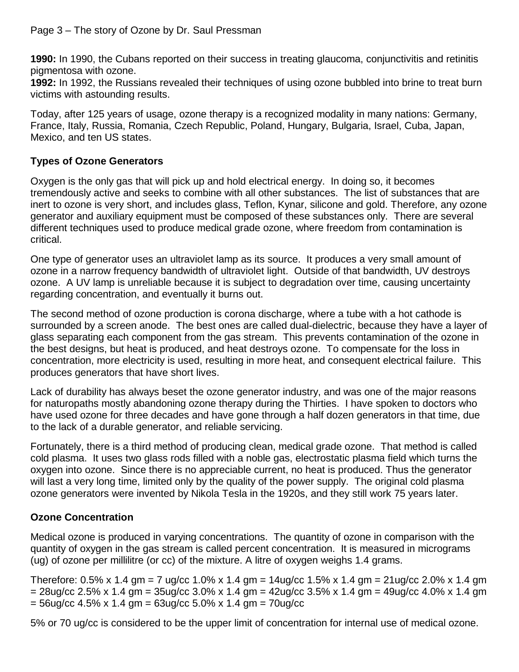**1990:** In 1990, the Cubans reported on their success in treating glaucoma, conjunctivitis and retinitis pigmentosa with ozone.

**1992:** In 1992, the Russians revealed their techniques of using ozone bubbled into brine to treat burn victims with astounding results.

Today, after 125 years of usage, ozone therapy is a recognized modality in many nations: Germany, France, Italy, Russia, Romania, Czech Republic, Poland, Hungary, Bulgaria, Israel, Cuba, Japan, Mexico, and ten US states.

# **Types of Ozone Generators**

Oxygen is the only gas that will pick up and hold electrical energy. In doing so, it becomes tremendously active and seeks to combine with all other substances. The list of substances that are inert to ozone is very short, and includes glass, Teflon, Kynar, silicone and gold. Therefore, any ozone generator and auxiliary equipment must be composed of these substances only. There are several different techniques used to produce medical grade ozone, where freedom from contamination is critical.

One type of generator uses an ultraviolet lamp as its source. It produces a very small amount of ozone in a narrow frequency bandwidth of ultraviolet light. Outside of that bandwidth, UV destroys ozone. A UV lamp is unreliable because it is subject to degradation over time, causing uncertainty regarding concentration, and eventually it burns out.

The second method of ozone production is corona discharge, where a tube with a hot cathode is surrounded by a screen anode. The best ones are called dual-dielectric, because they have a layer of glass separating each component from the gas stream. This prevents contamination of the ozone in the best designs, but heat is produced, and heat destroys ozone. To compensate for the loss in concentration, more electricity is used, resulting in more heat, and consequent electrical failure. This produces generators that have short lives.

Lack of durability has always beset the ozone generator industry, and was one of the major reasons for naturopaths mostly abandoning ozone therapy during the Thirties. I have spoken to doctors who have used ozone for three decades and have gone through a half dozen generators in that time, due to the lack of a durable generator, and reliable servicing.

Fortunately, there is a third method of producing clean, medical grade ozone. That method is called cold plasma. It uses two glass rods filled with a noble gas, electrostatic plasma field which turns the oxygen into ozone. Since there is no appreciable current, no heat is produced. Thus the generator will last a very long time, limited only by the quality of the power supply. The original cold plasma ozone generators were invented by Nikola Tesla in the 1920s, and they still work 75 years later.

# **Ozone Concentration**

Medical ozone is produced in varying concentrations. The quantity of ozone in comparison with the quantity of oxygen in the gas stream is called percent concentration. It is measured in micrograms (ug) of ozone per millilitre (or cc) of the mixture. A litre of oxygen weighs 1.4 grams.

Therefore:  $0.5\%$  x 1.4 gm = 7 ug/cc 1.0% x 1.4 gm = 14ug/cc 1.5% x 1.4 gm = 21ug/cc 2.0% x 1.4 gm  $= 28$ ug/cc 2.5% x 1.4 gm = 35ug/cc 3.0% x 1.4 gm = 42ug/cc 3.5% x 1.4 gm = 49ug/cc 4.0% x 1.4 gm  $= 56$ ug/cc 4.5% x 1.4 gm =  $63$ ug/cc 5.0% x 1.4 gm =  $70$ ug/cc

5% or 70 ug/cc is considered to be the upper limit of concentration for internal use of medical ozone.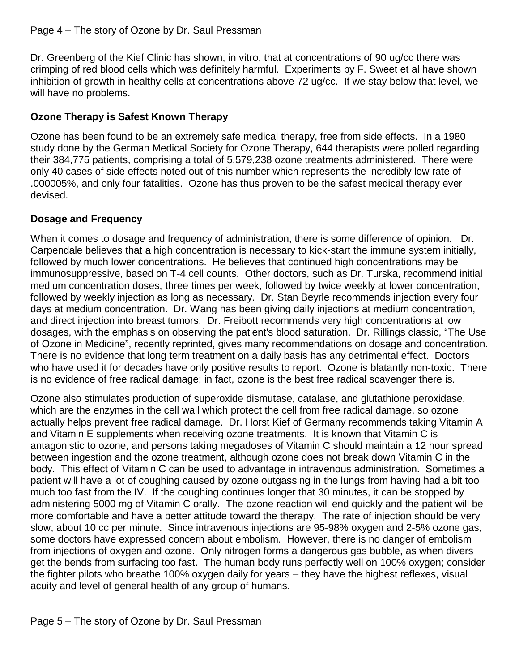Dr. Greenberg of the Kief Clinic has shown, in vitro, that at concentrations of 90 ug/cc there was crimping of red blood cells which was definitely harmful. Experiments by F. Sweet et al have shown inhibition of growth in healthy cells at concentrations above 72 ug/cc. If we stay below that level, we will have no problems.

# **Ozone Therapy is Safest Known Therapy**

Ozone has been found to be an extremely safe medical therapy, free from side effects. In a 1980 study done by the German Medical Society for Ozone Therapy, 644 therapists were polled regarding their 384,775 patients, comprising a total of 5,579,238 ozone treatments administered. There were only 40 cases of side effects noted out of this number which represents the incredibly low rate of .000005%, and only four fatalities. Ozone has thus proven to be the safest medical therapy ever devised.

## **Dosage and Frequency**

When it comes to dosage and frequency of administration, there is some difference of opinion. Dr. Carpendale believes that a high concentration is necessary to kick-start the immune system initially, followed by much lower concentrations. He believes that continued high concentrations may be immunosuppressive, based on T-4 cell counts. Other doctors, such as Dr. Turska, recommend initial medium concentration doses, three times per week, followed by twice weekly at lower concentration, followed by weekly injection as long as necessary. Dr. Stan Beyrle recommends injection every four days at medium concentration. Dr. Wang has been giving daily injections at medium concentration, and direct injection into breast tumors. Dr. Freibott recommends very high concentrations at low dosages, with the emphasis on observing the patient's blood saturation. Dr. Rillings classic, "The Use of Ozone in Medicine", recently reprinted, gives many recommendations on dosage and concentration. There is no evidence that long term treatment on a daily basis has any detrimental effect. Doctors who have used it for decades have only positive results to report. Ozone is blatantly non-toxic. There is no evidence of free radical damage; in fact, ozone is the best free radical scavenger there is.

Ozone also stimulates production of superoxide dismutase, catalase, and glutathione peroxidase, which are the enzymes in the cell wall which protect the cell from free radical damage, so ozone actually helps prevent free radical damage. Dr. Horst Kief of Germany recommends taking Vitamin A and Vitamin E supplements when receiving ozone treatments. It is known that Vitamin C is antagonistic to ozone, and persons taking megadoses of Vitamin C should maintain a 12 hour spread between ingestion and the ozone treatment, although ozone does not break down Vitamin C in the body. This effect of Vitamin C can be used to advantage in intravenous administration. Sometimes a patient will have a lot of coughing caused by ozone outgassing in the lungs from having had a bit too much too fast from the IV. If the coughing continues longer that 30 minutes, it can be stopped by administering 5000 mg of Vitamin C orally. The ozone reaction will end quickly and the patient will be more comfortable and have a better attitude toward the therapy. The rate of injection should be very slow, about 10 cc per minute. Since intravenous injections are 95-98% oxygen and 2-5% ozone gas, some doctors have expressed concern about embolism. However, there is no danger of embolism from injections of oxygen and ozone. Only nitrogen forms a dangerous gas bubble, as when divers get the bends from surfacing too fast. The human body runs perfectly well on 100% oxygen; consider the fighter pilots who breathe 100% oxygen daily for years – they have the highest reflexes, visual acuity and level of general health of any group of humans.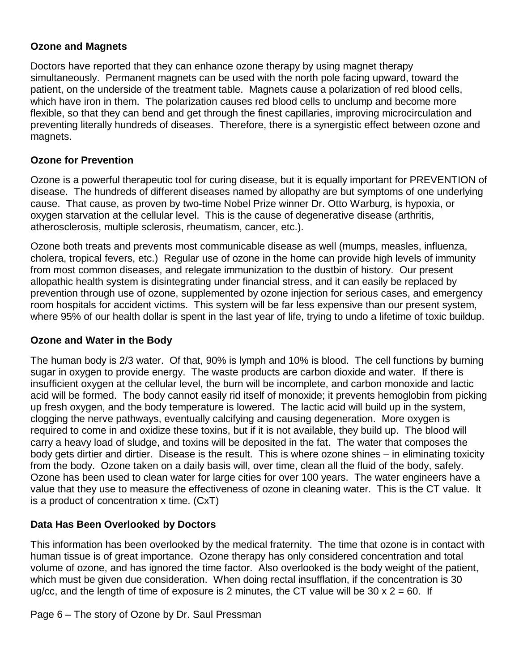#### **Ozone and Magnets**

Doctors have reported that they can enhance ozone therapy by using magnet therapy simultaneously. Permanent magnets can be used with the north pole facing upward, toward the patient, on the underside of the treatment table. Magnets cause a polarization of red blood cells, which have iron in them. The polarization causes red blood cells to unclump and become more flexible, so that they can bend and get through the finest capillaries, improving microcirculation and preventing literally hundreds of diseases. Therefore, there is a synergistic effect between ozone and magnets.

## **Ozone for Prevention**

Ozone is a powerful therapeutic tool for curing disease, but it is equally important for PREVENTION of disease. The hundreds of different diseases named by allopathy are but symptoms of one underlying cause. That cause, as proven by two-time Nobel Prize winner Dr. Otto Warburg, is hypoxia, or oxygen starvation at the cellular level. This is the cause of degenerative disease (arthritis, atherosclerosis, multiple sclerosis, rheumatism, cancer, etc.).

Ozone both treats and prevents most communicable disease as well (mumps, measles, influenza, cholera, tropical fevers, etc.) Regular use of ozone in the home can provide high levels of immunity from most common diseases, and relegate immunization to the dustbin of history. Our present allopathic health system is disintegrating under financial stress, and it can easily be replaced by prevention through use of ozone, supplemented by ozone injection for serious cases, and emergency room hospitals for accident victims. This system will be far less expensive than our present system, where 95% of our health dollar is spent in the last year of life, trying to undo a lifetime of toxic buildup.

## **Ozone and Water in the Body**

The human body is 2/3 water. Of that, 90% is lymph and 10% is blood. The cell functions by burning sugar in oxygen to provide energy. The waste products are carbon dioxide and water. If there is insufficient oxygen at the cellular level, the burn will be incomplete, and carbon monoxide and lactic acid will be formed. The body cannot easily rid itself of monoxide; it prevents hemoglobin from picking up fresh oxygen, and the body temperature is lowered. The lactic acid will build up in the system, clogging the nerve pathways, eventually calcifying and causing degeneration. More oxygen is required to come in and oxidize these toxins, but if it is not available, they build up. The blood will carry a heavy load of sludge, and toxins will be deposited in the fat. The water that composes the body gets dirtier and dirtier. Disease is the result. This is where ozone shines – in eliminating toxicity from the body. Ozone taken on a daily basis will, over time, clean all the fluid of the body, safely. Ozone has been used to clean water for large cities for over 100 years. The water engineers have a value that they use to measure the effectiveness of ozone in cleaning water. This is the CT value. It is a product of concentration x time. (CxT)

## **Data Has Been Overlooked by Doctors**

This information has been overlooked by the medical fraternity. The time that ozone is in contact with human tissue is of great importance. Ozone therapy has only considered concentration and total volume of ozone, and has ignored the time factor. Also overlooked is the body weight of the patient, which must be given due consideration. When doing rectal insufflation, if the concentration is 30 ug/cc, and the length of time of exposure is 2 minutes, the CT value will be 30  $\times$  2 = 60. If

Page 6 – The story of Ozone by Dr. Saul Pressman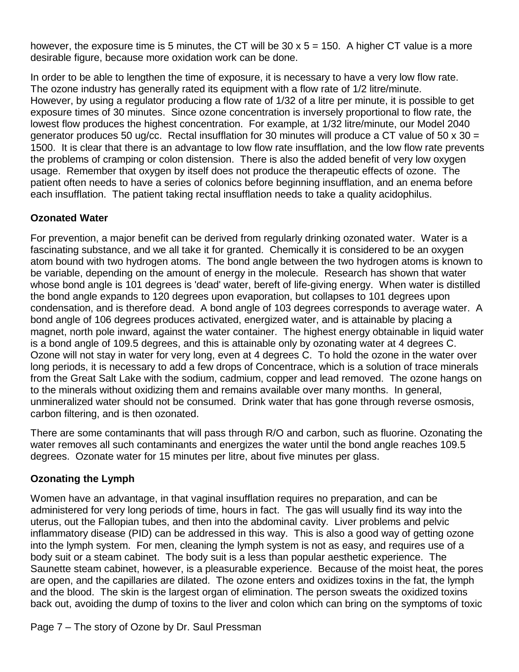however, the exposure time is 5 minutes, the CT will be 30  $\times$  5 = 150. A higher CT value is a more desirable figure, because more oxidation work can be done.

In order to be able to lengthen the time of exposure, it is necessary to have a very low flow rate. The ozone industry has generally rated its equipment with a flow rate of 1/2 litre/minute. However, by using a regulator producing a flow rate of 1/32 of a litre per minute, it is possible to get exposure times of 30 minutes. Since ozone concentration is inversely proportional to flow rate, the lowest flow produces the highest concentration. For example, at 1/32 litre/minute, our Model 2040 generator produces 50 ug/cc. Rectal insufflation for 30 minutes will produce a CT value of 50 x 30 = 1500. It is clear that there is an advantage to low flow rate insufflation, and the low flow rate prevents the problems of cramping or colon distension. There is also the added benefit of very low oxygen usage. Remember that oxygen by itself does not produce the therapeutic effects of ozone. The patient often needs to have a series of colonics before beginning insufflation, and an enema before each insufflation. The patient taking rectal insufflation needs to take a quality acidophilus.

## **Ozonated Water**

For prevention, a major benefit can be derived from regularly drinking ozonated water. Water is a fascinating substance, and we all take it for granted. Chemically it is considered to be an oxygen atom bound with two hydrogen atoms. The bond angle between the two hydrogen atoms is known to be variable, depending on the amount of energy in the molecule. Research has shown that water whose bond angle is 101 degrees is 'dead' water, bereft of life-giving energy. When water is distilled the bond angle expands to 120 degrees upon evaporation, but collapses to 101 degrees upon condensation, and is therefore dead. A bond angle of 103 degrees corresponds to average water. A bond angle of 106 degrees produces activated, energized water, and is attainable by placing a magnet, north pole inward, against the water container. The highest energy obtainable in liquid water is a bond angle of 109.5 degrees, and this is attainable only by ozonating water at 4 degrees C. Ozone will not stay in water for very long, even at 4 degrees C. To hold the ozone in the water over long periods, it is necessary to add a few drops of Concentrace, which is a solution of trace minerals from the Great Salt Lake with the sodium, cadmium, copper and lead removed. The ozone hangs on to the minerals without oxidizing them and remains available over many months. In general, unmineralized water should not be consumed. Drink water that has gone through reverse osmosis, carbon filtering, and is then ozonated.

There are some contaminants that will pass through R/O and carbon, such as fluorine. Ozonating the water removes all such contaminants and energizes the water until the bond angle reaches 109.5 degrees. Ozonate water for 15 minutes per litre, about five minutes per glass.

#### **Ozonating the Lymph**

Women have an advantage, in that vaginal insufflation requires no preparation, and can be administered for very long periods of time, hours in fact. The gas will usually find its way into the uterus, out the Fallopian tubes, and then into the abdominal cavity. Liver problems and pelvic inflammatory disease (PID) can be addressed in this way. This is also a good way of getting ozone into the lymph system. For men, cleaning the lymph system is not as easy, and requires use of a body suit or a steam cabinet. The body suit is a less than popular aesthetic experience. The Saunette steam cabinet, however, is a pleasurable experience. Because of the moist heat, the pores are open, and the capillaries are dilated. The ozone enters and oxidizes toxins in the fat, the lymph and the blood. The skin is the largest organ of elimination. The person sweats the oxidized toxins back out, avoiding the dump of toxins to the liver and colon which can bring on the symptoms of toxic

Page 7 – The story of Ozone by Dr. Saul Pressman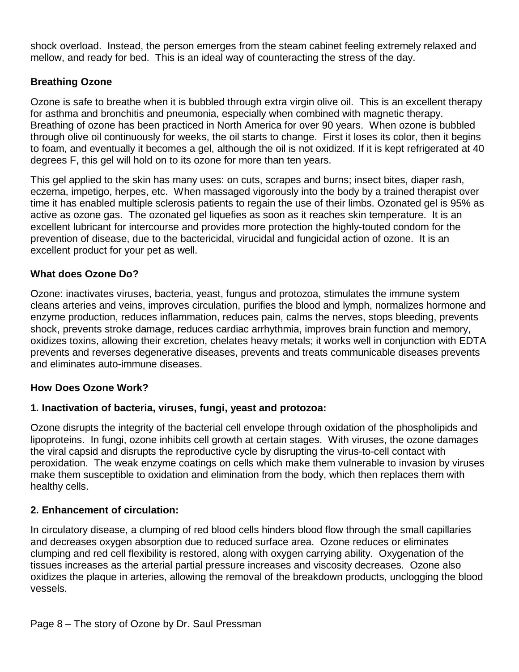shock overload. Instead, the person emerges from the steam cabinet feeling extremely relaxed and mellow, and ready for bed. This is an ideal way of counteracting the stress of the day.

## **Breathing Ozone**

Ozone is safe to breathe when it is bubbled through extra virgin olive oil. This is an excellent therapy for asthma and bronchitis and pneumonia, especially when combined with magnetic therapy. Breathing of ozone has been practiced in North America for over 90 years. When ozone is bubbled through olive oil continuously for weeks, the oil starts to change. First it loses its color, then it begins to foam, and eventually it becomes a gel, although the oil is not oxidized. If it is kept refrigerated at 40 degrees F, this gel will hold on to its ozone for more than ten years.

This gel applied to the skin has many uses: on cuts, scrapes and burns; insect bites, diaper rash, eczema, impetigo, herpes, etc. When massaged vigorously into the body by a trained therapist over time it has enabled multiple sclerosis patients to regain the use of their limbs. Ozonated gel is 95% as active as ozone gas. The ozonated gel liquefies as soon as it reaches skin temperature. It is an excellent lubricant for intercourse and provides more protection the highly-touted condom for the prevention of disease, due to the bactericidal, virucidal and fungicidal action of ozone. It is an excellent product for your pet as well.

#### **What does Ozone Do?**

Ozone: inactivates viruses, bacteria, yeast, fungus and protozoa, stimulates the immune system cleans arteries and veins, improves circulation, purifies the blood and lymph, normalizes hormone and enzyme production, reduces inflammation, reduces pain, calms the nerves, stops bleeding, prevents shock, prevents stroke damage, reduces cardiac arrhythmia, improves brain function and memory, oxidizes toxins, allowing their excretion, chelates heavy metals; it works well in conjunction with EDTA prevents and reverses degenerative diseases, prevents and treats communicable diseases prevents and eliminates auto-immune diseases.

## **How Does Ozone Work?**

## **1. Inactivation of bacteria, viruses, fungi, yeast and protozoa:**

Ozone disrupts the integrity of the bacterial cell envelope through oxidation of the phospholipids and lipoproteins. In fungi, ozone inhibits cell growth at certain stages. With viruses, the ozone damages the viral capsid and disrupts the reproductive cycle by disrupting the virus-to-cell contact with peroxidation. The weak enzyme coatings on cells which make them vulnerable to invasion by viruses make them susceptible to oxidation and elimination from the body, which then replaces them with healthy cells.

## **2. Enhancement of circulation:**

In circulatory disease, a clumping of red blood cells hinders blood flow through the small capillaries and decreases oxygen absorption due to reduced surface area. Ozone reduces or eliminates clumping and red cell flexibility is restored, along with oxygen carrying ability. Oxygenation of the tissues increases as the arterial partial pressure increases and viscosity decreases. Ozone also oxidizes the plaque in arteries, allowing the removal of the breakdown products, unclogging the blood vessels.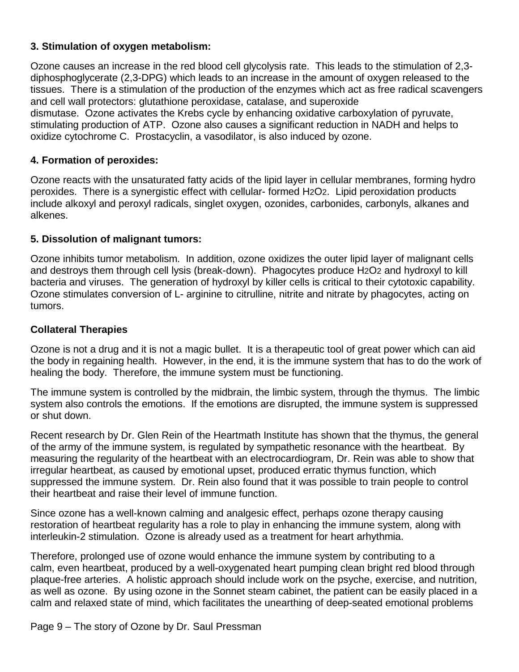## **3. Stimulation of oxygen metabolism:**

Ozone causes an increase in the red blood cell glycolysis rate. This leads to the stimulation of 2,3 diphosphoglycerate (2,3-DPG) which leads to an increase in the amount of oxygen released to the tissues. There is a stimulation of the production of the enzymes which act as free radical scavengers and cell wall protectors: glutathione peroxidase, catalase, and superoxide dismutase. Ozone activates the Krebs cycle by enhancing oxidative carboxylation of pyruvate, stimulating production of ATP. Ozone also causes a significant reduction in NADH and helps to oxidize cytochrome C. Prostacyclin, a vasodilator, is also induced by ozone.

#### **4. Formation of peroxides:**

Ozone reacts with the unsaturated fatty acids of the lipid layer in cellular membranes, forming hydro peroxides. There is a synergistic effect with cellular- formed H2O2. Lipid peroxidation products include alkoxyl and peroxyl radicals, singlet oxygen, ozonides, carbonides, carbonyls, alkanes and alkenes.

#### **5. Dissolution of malignant tumors:**

Ozone inhibits tumor metabolism. In addition, ozone oxidizes the outer lipid layer of malignant cells and destroys them through cell lysis (break-down). Phagocytes produce H2O2 and hydroxyl to kill bacteria and viruses. The generation of hydroxyl by killer cells is critical to their cytotoxic capability. Ozone stimulates conversion of L- arginine to citrulline, nitrite and nitrate by phagocytes, acting on tumors.

#### **Collateral Therapies**

Ozone is not a drug and it is not a magic bullet. It is a therapeutic tool of great power which can aid the body in regaining health. However, in the end, it is the immune system that has to do the work of healing the body. Therefore, the immune system must be functioning.

The immune system is controlled by the midbrain, the limbic system, through the thymus. The limbic system also controls the emotions. If the emotions are disrupted, the immune system is suppressed or shut down.

Recent research by Dr. Glen Rein of the Heartmath Institute has shown that the thymus, the general of the army of the immune system, is regulated by sympathetic resonance with the heartbeat. By measuring the regularity of the heartbeat with an electrocardiogram, Dr. Rein was able to show that irregular heartbeat, as caused by emotional upset, produced erratic thymus function, which suppressed the immune system. Dr. Rein also found that it was possible to train people to control their heartbeat and raise their level of immune function.

Since ozone has a well-known calming and analgesic effect, perhaps ozone therapy causing restoration of heartbeat regularity has a role to play in enhancing the immune system, along with interleukin-2 stimulation. Ozone is already used as a treatment for heart arhythmia.

Therefore, prolonged use of ozone would enhance the immune system by contributing to a calm, even heartbeat, produced by a well-oxygenated heart pumping clean bright red blood through plaque-free arteries. A holistic approach should include work on the psyche, exercise, and nutrition, as well as ozone. By using ozone in the Sonnet steam cabinet, the patient can be easily placed in a calm and relaxed state of mind, which facilitates the unearthing of deep-seated emotional problems

Page 9 – The story of Ozone by Dr. Saul Pressman